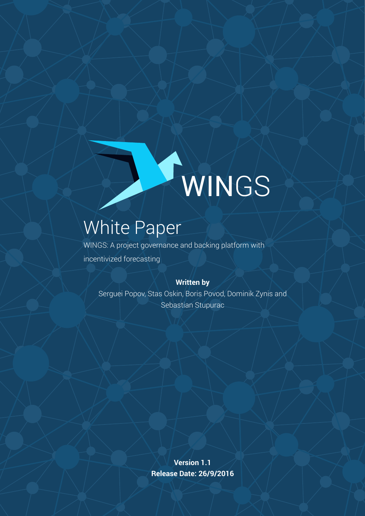

# White Paper

WINGS: A project governance and backing platform with incentivized forecasting

#### **Written by**

Serguei Popov, Stas Oskin, Boris Povod, Dominik Zynis and Sebastian Stupurac

> **Version 1.1 Release Date: 26/9/2016**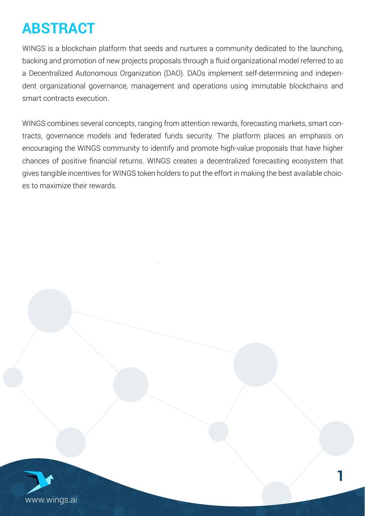# **ABSTRACT**

WINGS is a blockchain platform that seeds and nurtures a community dedicated to the launching, backing and promotion of new projects proposals through a fluid organizational model referred to as a Decentralized Autonomous Organization (DAO). DAOs implement self-determining and independent organizational governance, management and operations using immutable blockchains and smart contracts execution.

gives tangible incentives for WINGS token holders to put the effort in making the best available choic-<br>es to maximize their rewards.<br>. WINGS combines several concepts, ranging from attention rewards, forecasting markets, smart contracts, governance models and federated funds security. The platform places an emphasis on encouraging the WINGS community to identify and promote high-value proposals that have higher chances of positive financial returns. WINGS creates a decentralized forecasting ecosystem that es to maximize their rewards.

**1**

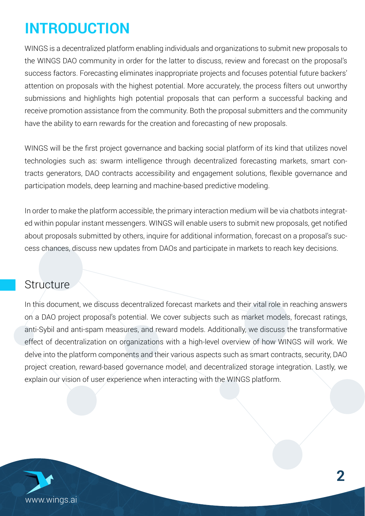# **INTRODUCTION**

WINGS is a decentralized platform enabling individuals and organizations to submit new proposals to the WINGS DAO community in order for the latter to discuss, review and forecast on the proposal's success factors. Forecasting eliminates inappropriate projects and focuses potential future backers' attention on proposals with the highest potential. More accurately, the process filters out unworthy submissions and highlights high potential proposals that can perform a successful backing and receive promotion assistance from the community. Both the proposal submitters and the community have the ability to earn rewards for the creation and forecasting of new proposals.

The engagement solutions, WINGS will be the first project governance and backing social platform of its kind that utilizes novel technologies such as: swarm intelligence through decentralized forecasting markets, smart contracts generators, DAO contracts accessibility and engagement solutions, flexible governance and participation models, deep learning and machine-based predictive modeling.

ed within popular instant messengers. WINGS will enable users to submit new proposals, get notified<br>about proposals submitted by others, inquire for additional information, forecast on a proposal's success chances, discuss new updates from DAOs and participate in markets to reach key decisions. In order to make the platform accessible, the primary interaction medium will be via chatbots integratabout proposals submitted by others, inquire for additional information, forecast on a proposal's suc-

#### **Structure**

In this document, we discuss decentralized forecast markets and their vital role in reaching answers on a DAO project proposal's potential. We cover subjects such as market models, forecast ratings, anti-Sybil and anti-spam measures, and reward models. Additionally, we discuss the transformative effect of decentralization on organizations with a high-level overview of how WINGS will work. We delve into the platform components and their various aspects such as smart contracts, security, DAO project creation, reward-based governance model, and decentralized storage integration. Lastly, we explain our vision of user experience when interacting with the WINGS platform.

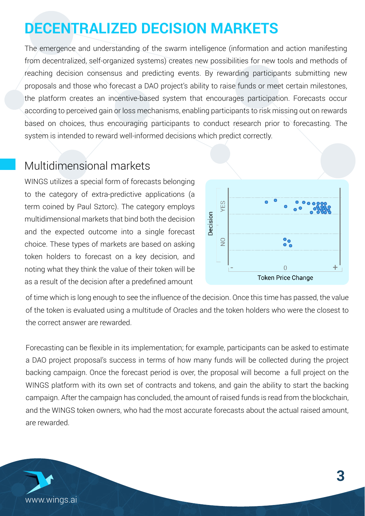# **DECENTRALIZED DECISION MARKETS**

The emergence and understanding of the swarm intelligence (information and action manifesting from decentralized, self-organized systems) creates new possibilities for new tools and methods of reaching decision consensus and predicting events. By rewarding participants submitting new proposals and those who forecast a DAO project's ability to raise funds or meet certain milestones, the platform creates an incentive-based system that encourages participation. Forecasts occur according to perceived gain or loss mechanisms, enabling participants to risk missing out on rewards based on choices, thus encouraging participants to conduct research prior to forecasting. The system is intended to reward well-informed decisions which predict correctly.

#### Multidimensional markets

WINGS utilizes a special form of forecasts belonging to the category of extra-predictive applications (a term coined by Paul Sztorc). The category employs multidimensional markets that bind both the decision and the expected outcome into a single forecast choice. These types of markets are based on asking token holders to forecast on a key decision, and noting what they think the value of their token will be as a result of the decision after a predefined amount



of time which is long enough to see the influence of the decision. Once this time has passed, the value of the token is evaluated using a multitude of Oracles and the token holders who were the closest to the correct answer are rewarded.

Forecasting can be flexible in its implementation; for example, participants can be asked to estimate a DAO project proposal's success in terms of how many funds will be collected during the project backing campaign. Once the forecast period is over, the proposal will become a full project on the WINGS platform with its own set of contracts and tokens, and gain the ability to start the backing campaign. After the campaign has concluded, the amount of raised funds is read from the blockchain, and the WINGS token owners, who had the most accurate forecasts about the actual raised amount, are rewarded.

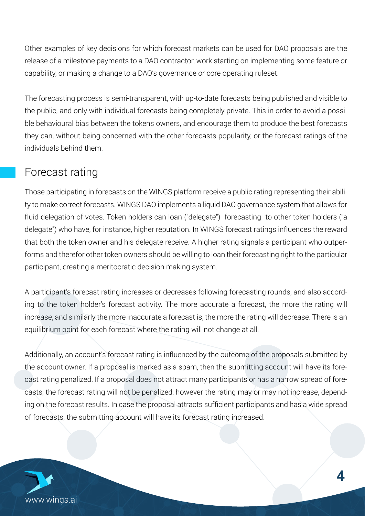Other examples of key decisions for which forecast markets can be used for DAO proposals are the release of a milestone payments to a DAO contractor, work starting on implementing some feature or capability, or making a change to a DAO's governance or core operating ruleset.

The forecasting process is semi-transparent, with up-to-date forecasts being published and visible to the public, and only with individual forecasts being completely private. This in order to avoid a possible behavioural bias between the tokens owners, and encourage them to produce the best forecasts they can, without being concerned with the other forecasts popularity, or the forecast ratings of the individuals behind them.

#### Forecast rating

atform receive a public rating<br>external continuity delegate") who have, for instance, higher reputation. In WINGS forecast ratings influences the reward that both the token owner and his delegate receive. A higher rating signals a participant who outper-Those participating in forecasts on the WINGS platform receive a public rating representing their ability to make correct forecasts. WINGS DAO implements a liquid DAO governance system that allows for fluid delegation of votes. Token holders can loan ("delegate") forecasting to other token holders ("a forms and therefor other token owners should be willing to loan their forecasting right to the particular participant, creating a meritocratic decision making system.

A participant's forecast rating increases or decreases following forecasting rounds, and also according to the token holder's forecast activity. The more accurate a forecast, the more the rating will increase, and similarly the more inaccurate a forecast is, the more the rating will decrease. There is an equilibrium point for each forecast where the rating will not change at all.

Additionally, an account's forecast rating is influenced by the outcome of the proposals submitted by the account owner. If a proposal is marked as a spam, then the submitting account will have its forecast rating penalized. If a proposal does not attract many participants or has a narrow spread of forecasts, the forecast rating will not be penalized, however the rating may or may not increase, depending on the forecast results. In case the proposal attracts sufficient participants and has a wide spread of forecasts, the submitting account will have its forecast rating increased.

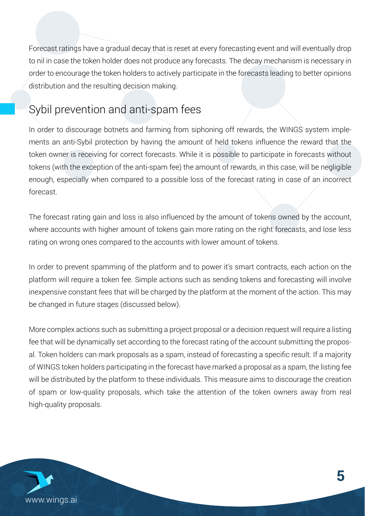Forecast ratings have a gradual decay that is reset at every forecasting event and will eventually drop to nil in case the token holder does not produce any forecasts. The decay mechanism is necessary in order to encourage the token holders to actively participate in the forecasts leading to better opinions distribution and the resulting decision making.

## Sybil prevention and anti-spam fees

wrille it is possible to partici<br>the amount of rewards, in tl<br>ble loss of the forecast ratin In order to discourage botnets and farming from siphoning off rewards, the WINGS system implements an anti-Sybil protection by having the amount of held tokens influence the reward that the token owner is receiving for correct forecasts. While it is possible to participate in forecasts without tokens (with the exception of the anti-spam fee) the amount of rewards, in this case, will be negligible enough, especially when compared to a possible loss of the forecast rating in case of an incorrect forecast.

white forecast rating gain and loss is also influenced by the amount of tokens owned by the account, where accounts with higher amount of tokens gain more rating on the right forecasts, and lose less rating on wrong ones compared to the accounts with lower amount of tokens.

In order to prevent spamming of the platform and to power it's smart contracts, each action on the platform will require a token fee. Simple actions such as sending tokens and forecasting will involve inexpensive constant fees that will be charged by the platform at the moment of the action. This may be changed in future stages (discussed below).

More complex actions such as submitting a project proposal or a decision request will require a listing fee that will be dynamically set according to the forecast rating of the account submitting the proposal. Token holders can mark proposals as a spam, instead of forecasting a specific result. If a majority of WINGS token holders participating in the forecast have marked a proposal as a spam, the listing fee will be distributed by the platform to these individuals. This measure aims to discourage the creation of spam or low-quality proposals, which take the attention of the token owners away from real high-quality proposals.

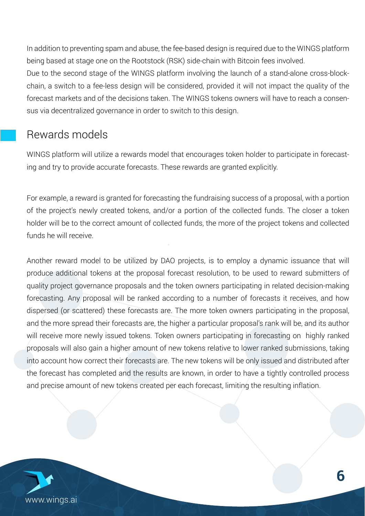In addition to preventing spam and abuse, the fee-based design is required due to the WINGS platform being based at stage one on the Rootstock (RSK) side-chain with Bitcoin fees involved. Due to the second stage of the WINGS platform involving the launch of a stand-alone cross-blockchain, a switch to a fee-less design will be considered, provided it will not impact the quality of the forecast markets and of the decisions taken. The WINGS tokens owners will have to reach a consensus via decentralized governance in order to switch to this design.

#### Rewards models

t encourages token noider t<br>rewards are granted explicit WINGS platform will utilize a rewards model that encourages token holder to participate in forecasting and try to provide accurate forecasts. These rewards are granted explicitly.

I or example, a reward is granted for forecasting the fundraising success or a proposal, with a portion<br>of the project's newly created tokens, and/or a portion of the collected funds. The closer a token holder will be to the correct amount of collected funds, the more of the project tokens and collected For example, a reward is granted for forecasting the fundraising success of a proposal, with a portion funds he will receive.

Another reward model to be utilized by DAO projects, is to employ a dynamic issuance that will produce additional tokens at the proposal forecast resolution, to be used to reward submitters of quality project governance proposals and the token owners participating in related decision-making forecasting. Any proposal will be ranked according to a number of forecasts it receives, and how dispersed (or scattered) these forecasts are. The more token owners participating in the proposal, and the more spread their forecasts are, the higher a particular proposal's rank will be, and its author will receive more newly issued tokens. Token owners participating in forecasting on highly ranked proposals will also gain a higher amount of new tokens relative to lower ranked submissions, taking into account how correct their forecasts are. The new tokens will be only issued and distributed after the forecast has completed and the results are known, in order to have a tightly controlled process and precise amount of new tokens created per each forecast, limiting the resulting inflation.

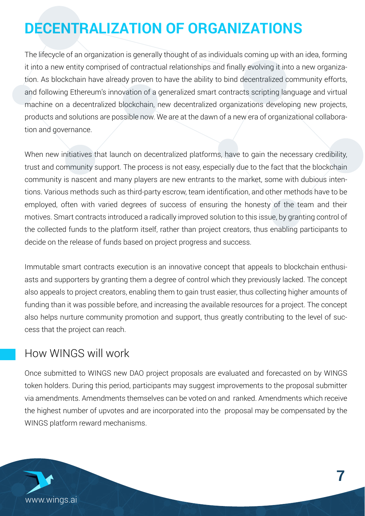# **DECENTRALIZATION OF ORGANIZATIONS**

The lifecycle of an organization is generally thought of as individuals coming up with an idea, forming it into a new entity comprised of contractual relationships and finally evolving it into a new organization. As blockchain have already proven to have the ability to bind decentralized community efforts, and following Ethereum's innovation of a generalized smart contracts scripting language and virtual machine on a decentralized blockchain, new decentralized organizations developing new projects, products and solutions are possible now. We are at the dawn of a new era of organizational collaboration and governance.

community is nascent and many players are new entrants to the market, some with dubious inten-<br>tions. Various methods such as third-party escrow, team identification, and other methods have to be Whitepaper the collected funds to the platform itself, rather than project creators, thus enabling participants to decide on the release of funds based on project progress and success. When new initiatives that launch on decentralized platforms, have to gain the necessary credibility, trust and community support. The process is not easy, especially due to the fact that the blockchain tions. Various methods such as third-party escrow, team identification, and other methods have to be employed, often with varied degrees of success of ensuring the honesty of the team and their motives. Smart contracts introduced a radically improved solution to this issue, by granting control of

Immutable smart contracts execution is an innovative concept that appeals to blockchain enthusiasts and supporters by granting them a degree of control which they previously lacked. The concept also appeals to project creators, enabling them to gain trust easier, thus collecting higher amounts of funding than it was possible before, and increasing the available resources for a project. The concept also helps nurture community promotion and support, thus greatly contributing to the level of success that the project can reach.

#### How WINGS will work

Once submitted to WINGS new DAO project proposals are evaluated and forecasted on by WINGS token holders. During this period, participants may suggest improvements to the proposal submitter via amendments. Amendments themselves can be voted on and ranked. Amendments which receive the highest number of upvotes and are incorporated into the proposal may be compensated by the WINGS platform reward mechanisms.

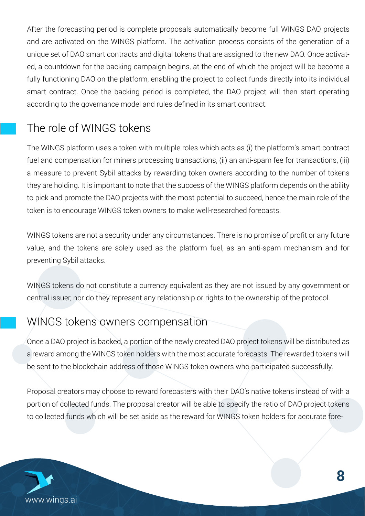After the forecasting period is complete proposals automatically become full WINGS DAO projects and are activated on the WINGS platform. The activation process consists of the generation of a unique set of DAO smart contracts and digital tokens that are assigned to the new DAO. Once activated, a countdown for the backing campaign begins, at the end of which the project will be become a fully functioning DAO on the platform, enabling the project to collect funds directly into its individual smart contract. Once the backing period is completed, the DAO project will then start operating according to the governance model and rules defined in its smart contract.

### The role of WINGS tokens

ansactions, (ii) an anti-spam<br>ig token owners according to plot and promote the *DNS* projects with the most potential to sasseda, hense<br>token is to encourage WINGS token owners to make well-researched forecasts. The WINGS platform uses a token with multiple roles which acts as (i) the platform's smart contract fuel and compensation for miners processing transactions, (ii) an anti-spam fee for transactions, (iii) a measure to prevent Sybil attacks by rewarding token owners according to the number of tokens they are holding. It is important to note that the success of the WINGS platform depends on the ability to pick and promote the DAO projects with the most potential to succeed, hence the main role of the

WINGS tokens are not a security under any circumstances. There is no promise of profit or any future value, and the tokens are solely used as the platform fuel, as an anti-spam mechanism and for preventing Sybil attacks.

WINGS tokens do not constitute a currency equivalent as they are not issued by any government or central issuer, nor do they represent any relationship or rights to the ownership of the protocol.

### WINGS tokens owners compensation

Once a DAO project is backed, a portion of the newly created DAO project tokens will be distributed as a reward among the WINGS token holders with the most accurate forecasts. The rewarded tokens will be sent to the blockchain address of those WINGS token owners who participated successfully.

Proposal creators may choose to reward forecasters with their DAO's native tokens instead of with a portion of collected funds. The proposal creator will be able to specify the ratio of DAO project tokens to collected funds which will be set aside as the reward for WINGS token holders for accurate fore-

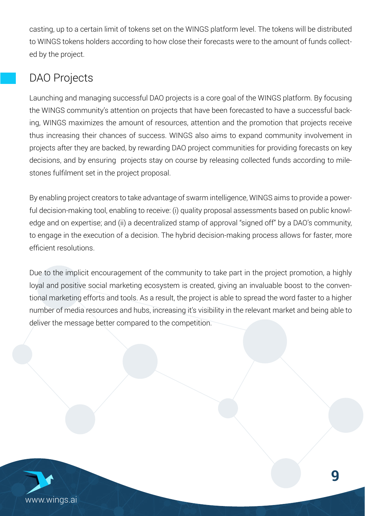casting, up to a certain limit of tokens set on the WINGS platform level. The tokens will be distributed to WINGS tokens holders according to how close their forecasts were to the amount of funds collected by the project.

## DAO Projects

decisions, and by ensuring projects stay on course by releasing collected funds according to mile-<br>stones fulfilment set in the project proposal.<br>. Launching and managing successful DAO projects is a core goal of the WINGS platform. By focusing the WINGS community's attention on projects that have been forecasted to have a successful backing, WINGS maximizes the amount of resources, attention and the promotion that projects receive thus increasing their chances of success. WINGS also aims to expand community involvement in projects after they are backed, by rewarding DAO project communities for providing forecasts on key stones fulfilment set in the project proposal.

By chasting project creaters to take advantage or extammitelingence, which can be to provide a power.<br>ful decision-making tool, enabling to receive: (i) quality proposal assessments based on public knowledge and on expertise; and (ii) a decentralized stamp of approval "signed off" by a DAO's community, By enabling project creators to take advantage of swarm intelligence, WINGS aims to provide a powerto engage in the execution of a decision. The hybrid decision-making process allows for faster, more efficient resolutions.

Due to the implicit encouragement of the community to take part in the project promotion, a highly loyal and positive social marketing ecosystem is created, giving an invaluable boost to the conventional marketing efforts and tools. As a result, the project is able to spread the word faster to a higher number of media resources and hubs, increasing it's visibility in the relevant market and being able to deliver the message better compared to the competition.

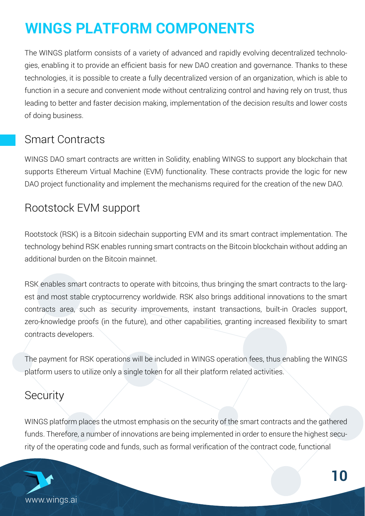# **WINGS PLATFORM COMPONENTS**

The WINGS platform consists of a variety of advanced and rapidly evolving decentralized technologies, enabling it to provide an efficient basis for new DAO creation and governance. Thanks to these technologies, it is possible to create a fully decentralized version of an organization, which is able to function in a secure and convenient mode without centralizing control and having rely on trust, thus leading to better and faster decision making, implementation of the decision results and lower costs of doing business.

#### Smart Contracts

chanisms required for the cr WINGS DAO smart contracts are written in Solidity, enabling WINGS to support any blockchain that supports Ethereum Virtual Machine (EVM) functionality. These contracts provide the logic for new DAO project functionality and implement the mechanisms required for the creation of the new DAO.

#### Rootstock EVM support

Rootstock (RSK) is a Bitcoin sidechain supporting EVM and its smart contract implementation. The technology behind RSK enables running smart contracts on the Bitcoin blockchain without adding an additional burden on the Bitcoin mainnet.

RSK enables smart contracts to operate with bitcoins, thus bringing the smart contracts to the largest and most stable cryptocurrency worldwide. RSK also brings additional innovations to the smart contracts area, such as security improvements, instant transactions, built-in Oracles support, zero-knowledge proofs (in the future), and other capabilities, granting increased flexibility to smart contracts developers.

The payment for RSK operations will be included in WINGS operation fees, thus enabling the WINGS platform users to utilize only a single token for all their platform related activities.

#### **Security**

WINGS platform places the utmost emphasis on the security of the smart contracts and the gathered funds. Therefore, a number of innovations are being implemented in order to ensure the highest security of the operating code and funds, such as formal verification of the contract code, functional

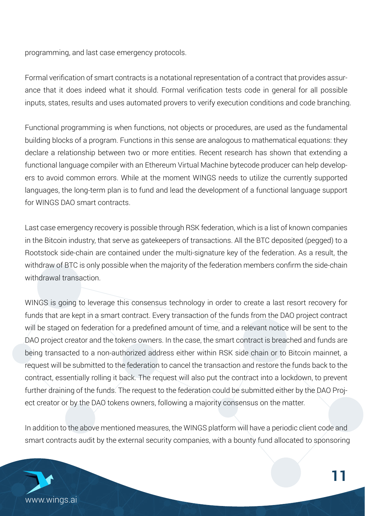programming, and last case emergency protocols.

Formal verification of smart contracts is a notational representation of a contract that provides assurance that it does indeed what it should. Formal verification tests code in general for all possible inputs, states, results and uses automated provers to verify execution conditions and code branching.

ent WINGS needs to utilize<br>d the development of a func Functional programming is when functions, not objects or procedures, are used as the fundamental building blocks of a program. Functions in this sense are analogous to mathematical equations: they declare a relationship between two or more entities. Recent research has shown that extending a functional language compiler with an Ethereum Virtual Machine bytecode producer can help developers to avoid common errors. While at the moment WINGS needs to utilize the currently supported languages, the long-term plan is to fund and lead the development of a functional language support for WINGS DAO smart contracts.

Last case emergency recovery is possible through RSK federation, which is a list of known companies in the Bitcoin industry, that serve as gatekeepers of transactions. All the BTC deposited (pegged) to a Rootstock side-chain are contained under the multi-signature key of the federation. As a result, the withdraw of BTC is only possible when the majority of the federation members confirm the side-chain withdrawal transaction.

WINGS is going to leverage this consensus technology in order to create a last resort recovery for funds that are kept in a smart contract. Every transaction of the funds from the DAO project contract will be staged on federation for a predefined amount of time, and a relevant notice will be sent to the DAO project creator and the tokens owners. In the case, the smart contract is breached and funds are being transacted to a non-authorized address either within RSK side chain or to Bitcoin mainnet, a request will be submitted to the federation to cancel the transaction and restore the funds back to the contract, essentially rolling it back. The request will also put the contract into a lockdown, to prevent further draining of the funds. The request to the federation could be submitted either by the DAO Project creator or by the DAO tokens owners, following a majority consensus on the matter.

In addition to the above mentioned measures, the WINGS platform will have a periodic client code and smart contracts audit by the external security companies, with a bounty fund allocated to sponsoring

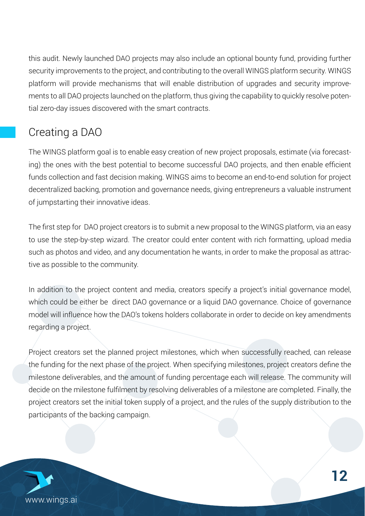this audit. Newly launched DAO projects may also include an optional bounty fund, providing further security improvements to the project, and contributing to the overall WINGS platform security. WINGS platform will provide mechanisms that will enable distribution of upgrades and security improvements to all DAO projects launched on the platform, thus giving the capability to quickly resolve potential zero-day issues discovered with the smart contracts.

## Creating a DAO

GS aims to become an end-t<br>ce needs, giving entreprenei The WINGS platform goal is to enable easy creation of new project proposals, estimate (via forecasting) the ones with the best potential to become successful DAO projects, and then enable efficient funds collection and fast decision making. WINGS aims to become an end-to-end solution for project decentralized backing, promotion and governance needs, giving entrepreneurs a valuable instrument of jumpstarting their innovative ideas.

The first step for DAO project creators is to submit a new proposal to the WINGS platform, via an easy A social funding platform with incentivized forecasting to use the step-by-step wizard. The creator could enter content with rich formatting, upload media such as photos and video, and any documentation he wants, in order to make the proposal as attractive as possible to the community.

In addition to the project content and media, creators specify a project's initial governance model, which could be either be direct DAO governance or a liquid DAO governance. Choice of governance model will influence how the DAO's tokens holders collaborate in order to decide on key amendments regarding a project.

Project creators set the planned project milestones, which when successfully reached, can release the funding for the next phase of the project. When specifying milestones, project creators define the milestone deliverables, and the amount of funding percentage each will release. The community will decide on the milestone fulfilment by resolving deliverables of a milestone are completed. Finally, the project creators set the initial token supply of a project, and the rules of the supply distribution to the participants of the backing campaign.

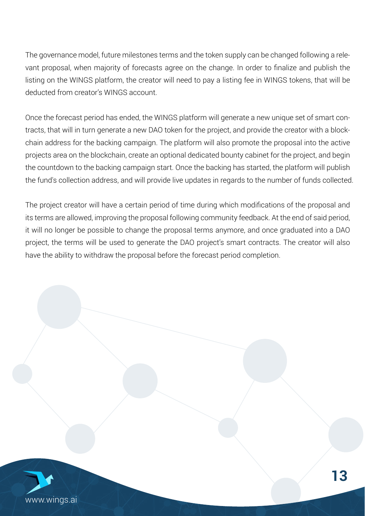The governance model, future milestones terms and the token supply can be changed following a relevant proposal, when majority of forecasts agree on the change. In order to finalize and publish the listing on the WINGS platform, the creator will need to pay a listing fee in WINGS tokens, that will be deducted from creator's WINGS account.

Once the forecast period has ended, the WINGS platform will generate a new unique set of smart contracts, that will in turn generate a new DAO token for the project, and provide the creator with a blockchain address for the backing campaign. The platform will also promote the proposal into the active projects area on the blockchain, create an optional dedicated bounty cabinet for the project, and begin the countdown to the backing campaign start. Once the backing has started, the platform will publish the fund's collection address, and will provide live updates in regards to the number of funds collected.

The project creator will have a certain period of time during which modifications of the proposal and its terms are allowed, improving the proposal following community feedback. At the end of said period, it will no longer be possible to change the proposal terms anymore, and once graduated into a DAO project, the terms will be used to generate the DAO project's smart contracts. The creator will also have the ability to withdraw the proposal before the forecast period completion.

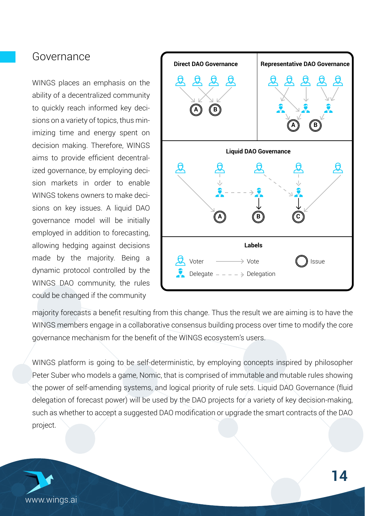#### Governance

WINGS places an emphasis on the ability of a decentralized community to quickly reach informed key decisions on a variety of topics, thus minimizing time and energy spent on decision making. Therefore, WINGS aims to provide efficient decentralized governance, by employing decision markets in order to enable WINGS tokens owners to make decisions on key issues. A liquid DAO governance model will be initially employed in addition to forecasting, allowing hedging against decisions made by the majority. Being a dynamic protocol controlled by the WINGS DAO community, the rules could be changed if the community



majority forecasts a benefit resulting from this change. Thus the result we are aiming is to have the WINGS members engage in a collaborative consensus building process over time to modify the core governance mechanism for the benefit of the WINGS ecosystem's users.

WINGS platform is going to be self-deterministic, by employing concepts inspired by philosopher Peter Suber who models a game, Nomic, that is comprised of immutable and mutable rules showing the power of self-amending systems, and logical priority of rule sets. Liquid DAO Governance (fluid delegation of forecast power) will be used by the DAO projects for a variety of key decision-making, such as whether to accept a suggested DAO modification or upgrade the smart contracts of the DAO project.

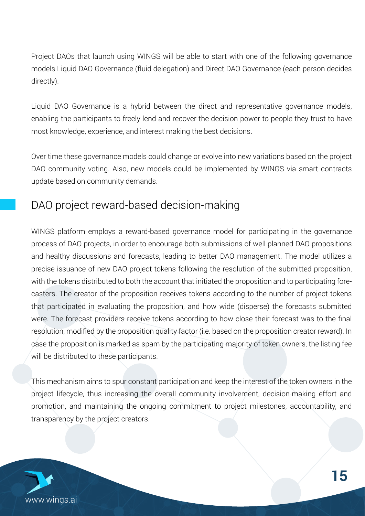Project DAOs that launch using WINGS will be able to start with one of the following governance models Liquid DAO Governance (fluid delegation) and Direct DAO Governance (each person decides directly).

Liquid DAO Governance is a hybrid between the direct and representative governance models, enabling the participants to freely lend and recover the decision power to people they trust to have most knowledge, experience, and interest making the best decisions.

Over time these governance models could change or evolve into new variations based on the project DAO community voting. Also, new models could be implemented by WINGS via smart contracts update based on community demands.

#### DAO project reward-based decision-making

WINGS platform employs a reward-based governance model for participating in the governance process of DAO projects, in order to encourage both submissions of well planned DAO propositions and healthy discussions and forecasts, leading to better DAO management. The model utilizes a precise issuance of new DAO project tokens following the resolution of the submitted proposition, with the tokens distributed to both the account that initiated the proposition and to participating forecasters. The creator of the proposition receives tokens according to the number of project tokens that participated in evaluating the proposition, and how wide (disperse) the forecasts submitted were. The forecast providers receive tokens according to how close their forecast was to the final resolution, modified by the proposition quality factor (i.e. based on the proposition creator reward). In case the proposition is marked as spam by the participating majority of token owners, the listing fee will be distributed to these participants.

This mechanism aims to spur constant participation and keep the interest of the token owners in the project lifecycle, thus increasing the overall community involvement, decision-making effort and promotion, and maintaining the ongoing commitment to project milestones, accountability, and transparency by the project creators.

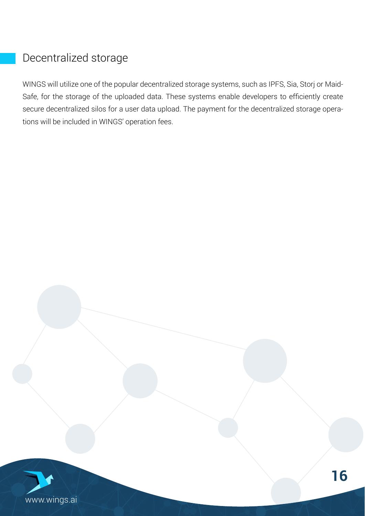#### Decentralized storage

WINGS will utilize one of the popular decentralized storage systems, such as IPFS, Sia, Storj or Maid-Safe, for the storage of the uploaded data. These systems enable developers to efficiently create secure decentralized silos for a user data upload. The payment for the decentralized storage operations will be included in WINGS' operation fees.

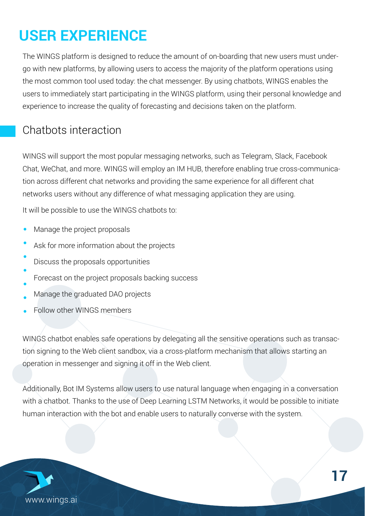# **USER EXPERIENCE**

The WINGS platform is designed to reduce the amount of on-boarding that new users must undergo with new platforms, by allowing users to access the majority of the platform operations using the most common tool used today: the chat messenger. By using chatbots, WINGS enables the users to immediately start participating in the WINGS platform, using their personal knowledge and experience to increase the quality of forecasting and decisions taken on the platform.

#### Chatbots interaction

WINGS will support the most popular messaging networks, such as Telegram, Slack, Facebook Chat, WeChat, and more. WINGS will employ an IM HUB, therefore enabling true cross-communication across different chat networks and providing the same experience for all different chat networks users without any difference of what messaging application they are using.

It will be possible to use the WINGS chatbots to:

- Manage the project proposals
- Ask for more information about the projects
- Discuss the proposals opportunities
- Forecast on the project proposals backing success
- Manage the graduated DAO projects
- Follow other WINGS members

WINGS chatbot enables safe operations by delegating all the sensitive operations such as transaction signing to the Web client sandbox, via a cross-platform mechanism that allows starting an operation in messenger and signing it off in the Web client.

Additionally, Bot IM Systems allow users to use natural language when engaging in a conversation with a chatbot. Thanks to the use of Deep Learning LSTM Networks, it would be possible to initiate human interaction with the bot and enable users to naturally converse with the system.

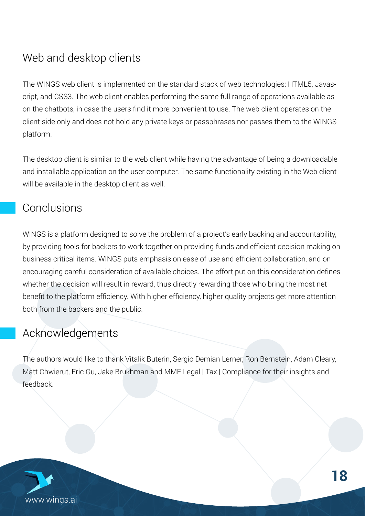## Web and desktop clients

The WINGS web client is implemented on the standard stack of web technologies: HTML5, Javascript, and CSS3. The web client enables performing the same full range of operations available as on the chatbots, in case the users find it more convenient to use. The web client operates on the client side only and does not hold any private keys or passphrases nor passes them to the WINGS platform.

The desktop client is similar to the web client while having the advantage of being a downloadable and installable application on the user computer. The same functionality existing in the Web client will be available in the desktop client as well.

#### Conclusions

WINGS is a platform designed to solve the problem of a project's early backing and accountability, by providing tools for backers to work together on providing funds and efficient decision making on business critical items. WINGS puts emphasis on ease of use and efficient collaboration, and on encouraging careful consideration of available choices. The effort put on this consideration defines whether the decision will result in reward, thus directly rewarding those who bring the most net benefit to the platform efficiency. With higher efficiency, higher quality projects get more attention both from the backers and the public.

#### Acknowledgements

The authors would like to thank Vitalik Buterin, Sergio Demian Lerner, Ron Bernstein, Adam Cleary, Matt Chwierut, Eric Gu, Jake Brukhman and MME Legal | Tax | Compliance for their insights and feedback.

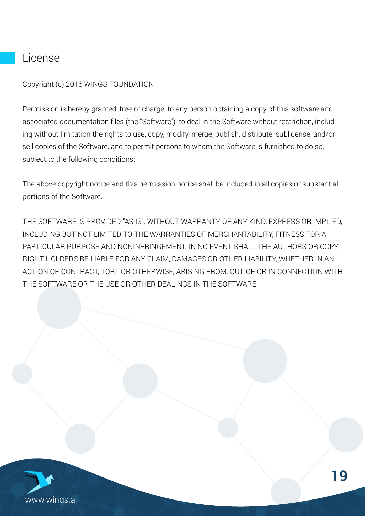#### License

Copyright (c) 2016 WINGS FOUNDATION

Permission is hereby granted, free of charge, to any person obtaining a copy of this software and associated documentation files (the "Software"), to deal in the Software without restriction, including without limitation the rights to use, copy, modify, merge, publish, distribute, sublicense, and/or sell copies of the Software, and to permit persons to whom the Software is furnished to do so, subject to the following conditions:

The above copyright notice and this permission notice shall be included in all copies or substantial portions of the Software.

THE SOFTWARE IS PROVIDED "AS IS", WITHOUT WARRANTY OF ANY KIND, EXPRESS OR IMPLIED, INCLUDING BUT NOT LIMITED TO THE WARRANTIES OF MERCHANTABILITY, FITNESS FOR A PARTICULAR PURPOSE AND NONINFRINGEMENT. IN NO EVENT SHALL THE AUTHORS OR COPY-RIGHT HOLDERS BE LIABLE FOR ANY CLAIM, DAMAGES OR OTHER LIABILITY, WHETHER IN AN ACTION OF CONTRACT, TORT OR OTHERWISE, ARISING FROM, OUT OF OR IN CONNECTION WITH THE SOFTWARE OR THE USE OR OTHER DEALINGS IN THE SOFTWARE.